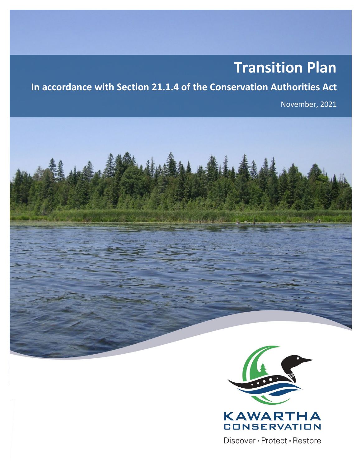# **Transition Plan**

## **In accordance with Section 21.1.4 of the Conservation Authorities Act**

November, 2021





Discover · Protect · Restore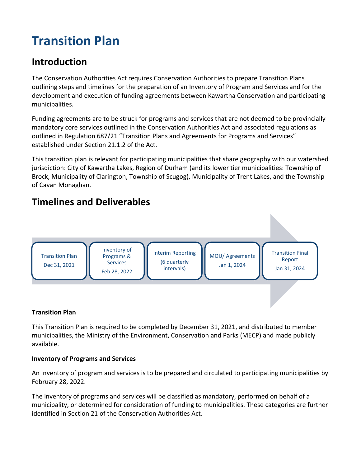## **Transition Plan**

## **Introduction**

The Conservation Authorities Act requires Conservation Authorities to prepare Transition Plans outlining steps and timelines for the preparation of an Inventory of Program and Services and for the development and execution of funding agreements between Kawartha Conservation and participating municipalities.

Funding agreements are to be struck for programs and services that are not deemed to be provincially mandatory core services outlined in the Conservation Authorities Act and associated regulations as outlined in Regulation 687/21 "Transition Plans and Agreements for Programs and Services" established under Section 21.1.2 of the Act.

This transition plan is relevant for participating municipalities that share geography with our watershed jurisdiction: City of Kawartha Lakes, Region of Durham (and its lower tier municipalities: Township of Brock, Municipality of Clarington, Township of Scugog), Municipality of Trent Lakes, and the Township of Cavan Monaghan.

## **Timelines and Deliverables**



#### **Transition Plan**

This Transition Plan is required to be completed by December 31, 2021, and distributed to member municipalities, the Ministry of the Environment, Conservation and Parks (MECP) and made publicly available.

### **Inventory of Programs and Services**

An inventory of program and services is to be prepared and circulated to participating municipalities by February 28, 2022.

The inventory of programs and services will be classified as mandatory, performed on behalf of a municipality, or determined for consideration of funding to municipalities. These categories are further identified in Section 21 of the Conservation Authorities Act.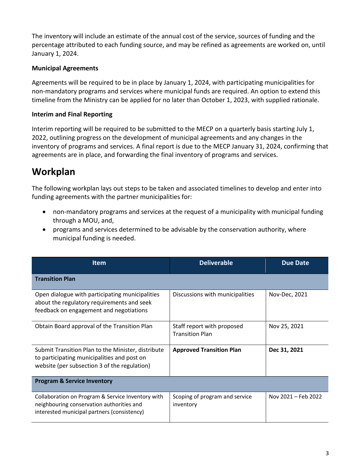The inventory will include an estimate of the annual cost of the service, sources of funding and the percentage attributed to each funding source, and may be refined as agreements are worked on, until January 1, 2024.

#### **Municipal Agreements**

Agreements will be required to be in place by January 1, 2024, with participating municipalities for non-mandatory programs and services where municipal funds are required. An option to extend this timeline from the Ministry can be applied for no later than October 1, 2023, with supplied rationale.

#### **Interim and Final Reporting**

Interim reporting will be required to be submitted to the MECP on a quarterly basis starting July 1, 2022, outlining progress on the development of municipal agreements and any changes in the inventory of programs and services. A final report is due to the MECP January 31, 2024, confirming that agreements are in place, and forwarding the final inventory of programs and services.

## **Workplan**

The following workplan lays out steps to be taken and associated timelines to develop and enter into funding agreements with the partner municipalities for:

- non-mandatory programs and services at the request of a municipality with municipal funding through a MOU, and,
- programs and services determined to be advisable by the conservation authority, where municipal funding is needed.

| <b>Item</b>                                                                                                                                       | <b>Deliverable</b>                                   | <b>Due Date</b>     |
|---------------------------------------------------------------------------------------------------------------------------------------------------|------------------------------------------------------|---------------------|
| <b>Transition Plan</b>                                                                                                                            |                                                      |                     |
| Open dialogue with participating municipalities<br>about the regulatory requirements and seek<br>feedback on engagement and negotiations          | Discussions with municipalities                      | Nov-Dec, 2021       |
| Obtain Board approval of the Transition Plan                                                                                                      | Staff report with proposed<br><b>Transition Plan</b> | Nov 25, 2021        |
| Submit Transition Plan to the Minister, distribute<br>to participating municipalities and post on<br>website (per subsection 3 of the regulation) | <b>Approved Transition Plan</b>                      | Dec 31, 2021        |
| <b>Program &amp; Service Inventory</b>                                                                                                            |                                                      |                     |
| Collaboration on Program & Service Inventory with<br>neighbouring conservation authorities and<br>interested municipal partners (consistency)     | Scoping of program and service<br>inventory          | Nov 2021 - Feb 2022 |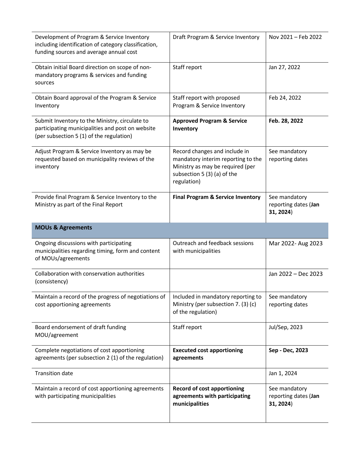| Development of Program & Service Inventory<br>including identification of category classification,<br>funding sources and average annual cost  | Draft Program & Service Inventory                                                                                                                     | Nov 2021 - Feb 2022                                |
|------------------------------------------------------------------------------------------------------------------------------------------------|-------------------------------------------------------------------------------------------------------------------------------------------------------|----------------------------------------------------|
| Obtain initial Board direction on scope of non-<br>mandatory programs & services and funding<br>sources                                        | Staff report                                                                                                                                          | Jan 27, 2022                                       |
| Obtain Board approval of the Program & Service<br>Inventory                                                                                    | Staff report with proposed<br>Program & Service Inventory                                                                                             | Feb 24, 2022                                       |
| Submit Inventory to the Ministry, circulate to<br>participating municipalities and post on website<br>(per subsection 5 (1) of the regulation) | <b>Approved Program &amp; Service</b><br>Inventory                                                                                                    | Feb. 28, 2022                                      |
| Adjust Program & Service Inventory as may be<br>requested based on municipality reviews of the<br>inventory                                    | Record changes and include in<br>mandatory interim reporting to the<br>Ministry as may be required (per<br>subsection 5 (3) (a) of the<br>regulation) | See mandatory<br>reporting dates                   |
| Provide final Program & Service Inventory to the<br>Ministry as part of the Final Report                                                       | <b>Final Program &amp; Service Inventory</b>                                                                                                          | See mandatory<br>reporting dates (Jan<br>31, 2024) |
| <b>MOUs &amp; Agreements</b>                                                                                                                   |                                                                                                                                                       |                                                    |
| Ongoing discussions with participating<br>municipalities regarding timing, form and content<br>of MOUs/agreements                              | Outreach and feedback sessions<br>with municipalities                                                                                                 | Mar 2022- Aug 2023                                 |
|                                                                                                                                                |                                                                                                                                                       |                                                    |
| Collaboration with conservation authorities<br>(consistency)                                                                                   |                                                                                                                                                       | Jan 2022 - Dec 2023                                |
| Maintain a record of the progress of negotiations of<br>cost apportioning agreements                                                           | Included in mandatory reporting to<br>Ministry (per subsection 7. (3) (c)<br>of the regulation)                                                       | See mandatory<br>reporting dates                   |
| Board endorsement of draft funding<br>MOU/agreement                                                                                            | Staff report                                                                                                                                          | Jul/Sep, 2023                                      |
| Complete negotiations of cost apportioning<br>agreements (per subsection 2 (1) of the regulation)                                              | <b>Executed cost apportioning</b><br>agreements                                                                                                       | Sep - Dec, 2023                                    |
| <b>Transition date</b>                                                                                                                         |                                                                                                                                                       | Jan 1, 2024                                        |